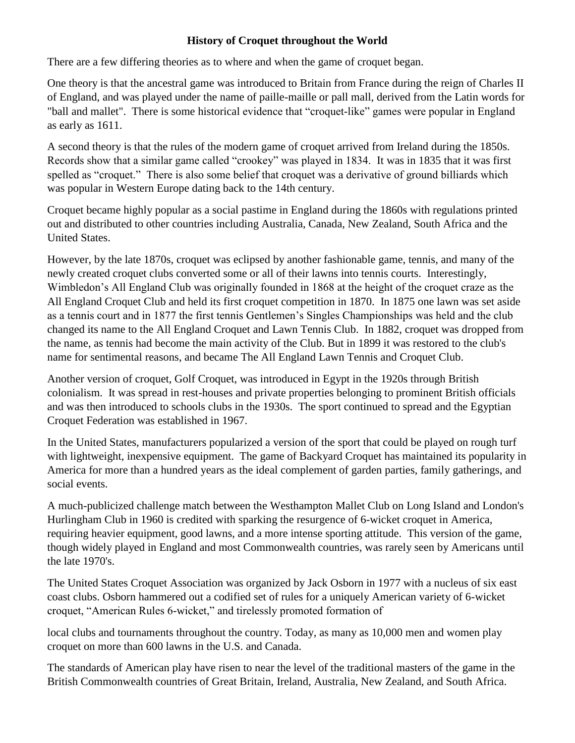## **History of Croquet throughout the World**

There are a few differing theories as to where and when the game of croquet began.

One theory is that the ancestral game was introduced to Britain from France during the reign of Charles II of England, and was played under the name of paille-maille or pall mall, derived from the Latin words for "ball and mallet". There is some historical evidence that "croquet-like" games were popular in England as early as 1611.

A second theory is that the rules of the modern game of croquet arrived from Ireland during the 1850s. Records show that a similar game called "crookey" was played in 1834. It was in 1835 that it was first spelled as "croquet." There is also some belief that croquet was a derivative of ground billiards which was popular in Western Europe dating back to the 14th century.

Croquet became highly popular as a social pastime in England during the 1860s with regulations printed out and distributed to other countries including Australia, Canada, New Zealand, South Africa and the United States.

However, by the late 1870s, croquet was eclipsed by another fashionable game, tennis, and many of the newly created croquet clubs converted some or all of their lawns into tennis courts. Interestingly, Wimbledon's All England Club was originally founded in 1868 at the height of the croquet craze as the All England Croquet Club and held its first croquet competition in 1870. In 1875 one lawn was set aside as a tennis court and in 1877 the first tennis Gentlemen's Singles Championships was held and the club changed its name to the All England Croquet and Lawn Tennis Club. In 1882, croquet was dropped from the name, as tennis had become the main activity of the Club. But in 1899 it was restored to the club's name for sentimental reasons, and became The All England Lawn Tennis and Croquet Club.

Another version of croquet, Golf Croquet, was introduced in Egypt in the 1920s through British colonialism. It was spread in rest-houses and private properties belonging to prominent British officials and was then introduced to schools clubs in the 1930s. The sport continued to spread and the Egyptian Croquet Federation was established in 1967.

In the United States, manufacturers popularized a version of the sport that could be played on rough turf with lightweight, inexpensive equipment. The game of Backyard Croquet has maintained its popularity in America for more than a hundred years as the ideal complement of garden parties, family gatherings, and social events.

A much-publicized challenge match between the Westhampton Mallet Club on Long Island and London's Hurlingham Club in 1960 is credited with sparking the resurgence of 6-wicket croquet in America, requiring heavier equipment, good lawns, and a more intense sporting attitude. This version of the game, though widely played in England and most Commonwealth countries, was rarely seen by Americans until the late 1970's.

The United States Croquet Association was organized by Jack Osborn in 1977 with a nucleus of six east coast clubs. Osborn hammered out a codified set of rules for a uniquely American variety of 6-wicket croquet, "American Rules 6-wicket," and tirelessly promoted formation of

local clubs and tournaments throughout the country. Today, as many as 10,000 men and women play croquet on more than 600 lawns in the U.S. and Canada.

The standards of American play have risen to near the level of the traditional masters of the game in the British Commonwealth countries of Great Britain, Ireland, Australia, New Zealand, and South Africa.